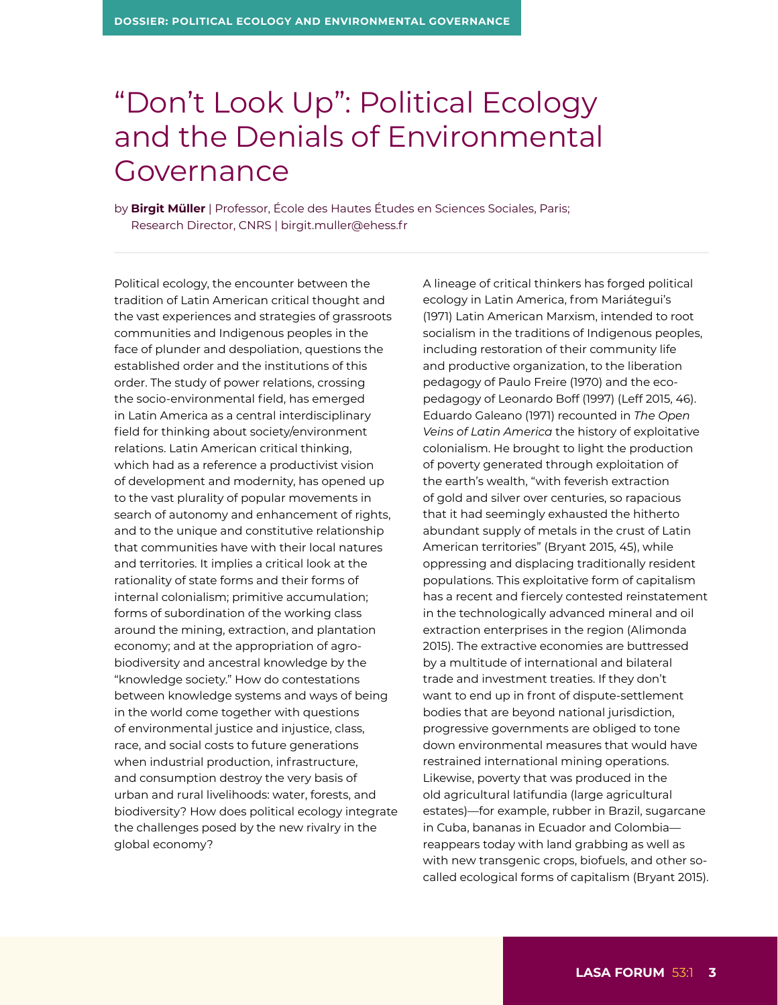## "Don't Look Up": Political Ecology and the Denials of Environmental Governance

by **Birgit Müller** | Professor, École des Hautes Études en Sciences Sociales, Paris; Research Director, CNRS | [birgit.muller@ehess.fr](mailto:birgit.muller@ehess.fr)

Political ecology, the encounter between the tradition of Latin American critical thought and the vast experiences and strategies of grassroots communities and Indigenous peoples in the face of plunder and despoliation, questions the established order and the institutions of this order. The study of power relations, crossing the socio-environmental field, has emerged in Latin America as a central interdisciplinary field for thinking about society/environment relations. Latin American critical thinking, which had as a reference a productivist vision of development and modernity, has opened up to the vast plurality of popular movements in search of autonomy and enhancement of rights, and to the unique and constitutive relationship that communities have with their local natures and territories. It implies a critical look at the rationality of state forms and their forms of internal colonialism; primitive accumulation; forms of subordination of the working class around the mining, extraction, and plantation economy; and at the appropriation of agrobiodiversity and ancestral knowledge by the "knowledge society." How do contestations between knowledge systems and ways of being in the world come together with questions of environmental justice and injustice, class, race, and social costs to future generations when industrial production, infrastructure, and consumption destroy the very basis of urban and rural livelihoods: water, forests, and biodiversity? How does political ecology integrate the challenges posed by the new rivalry in the global economy?

A lineage of critical thinkers has forged political ecology in Latin America, from Mariátegui's (1971) Latin American Marxism, intended to root socialism in the traditions of Indigenous peoples, including restoration of their community life and productive organization, to the liberation pedagogy of Paulo Freire (1970) and the ecopedagogy of Leonardo Boff (1997) (Leff 2015, 46). Eduardo Galeano (1971) recounted in *The Open Veins of Latin America* the history of exploitative colonialism. He brought to light the production of poverty generated through exploitation of the earth's wealth, "with feverish extraction of gold and silver over centuries, so rapacious that it had seemingly exhausted the hitherto abundant supply of metals in the crust of Latin American territories" (Bryant 2015, 45), while oppressing and displacing traditionally resident populations. This exploitative form of capitalism has a recent and fiercely contested reinstatement in the technologically advanced mineral and oil extraction enterprises in the region (Alimonda 2015). The extractive economies are buttressed by a multitude of international and bilateral trade and investment treaties. If they don't want to end up in front of dispute-settlement bodies that are beyond national jurisdiction, progressive governments are obliged to tone down environmental measures that would have restrained international mining operations. Likewise, poverty that was produced in the old agricultural latifundia (large agricultural estates)—for example, rubber in Brazil, sugarcane in Cuba, bananas in Ecuador and Colombia reappears today with land grabbing as well as with new transgenic crops, biofuels, and other socalled ecological forms of capitalism (Bryant 2015).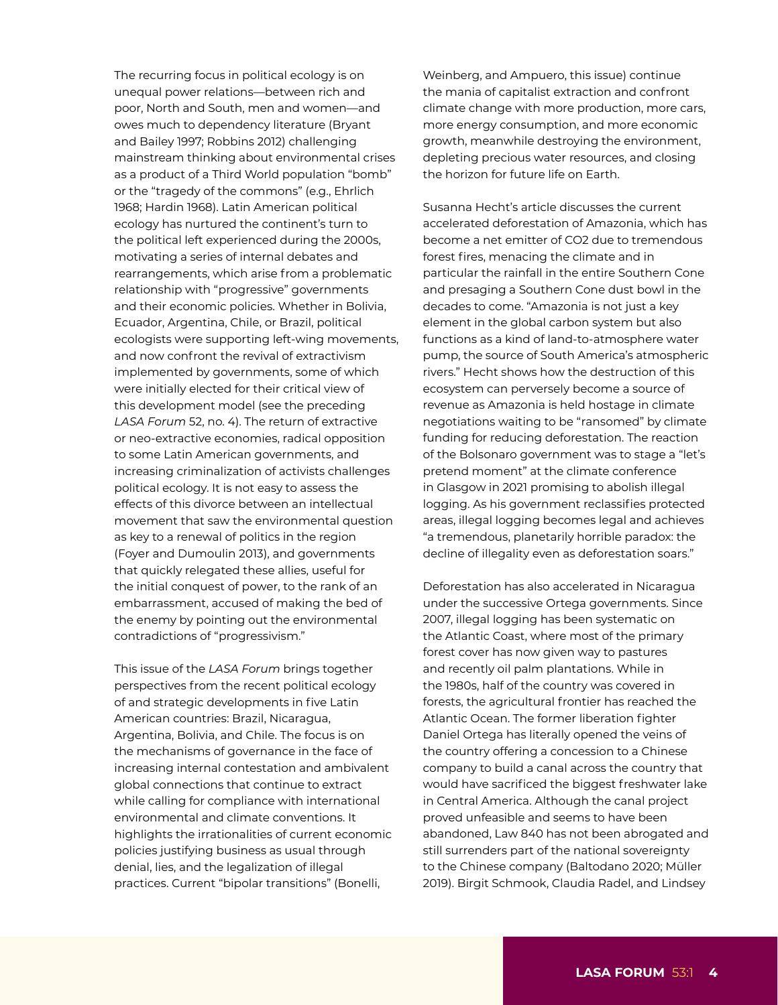The recurring focus in political ecology is on unequal power relations—between rich and poor, North and South, men and women—and owes much to dependency literature (Bryant and Bailey 1997; Robbins 2012) challenging mainstream thinking about environmental crises as a product of a Third World population "bomb" or the "tragedy of the commons" (e.g., Ehrlich 1968; Hardin 1968). Latin American political ecology has nurtured the continent's turn to the political left experienced during the 2000s, motivating a series of internal debates and rearrangements, which arise from a problematic relationship with "progressive" governments and their economic policies. Whether in Bolivia, Ecuador, Argentina, Chile, or Brazil, political ecologists were supporting left-wing movements, and now confront the revival of extractivism implemented by governments, some of which were initially elected for their critical view of this development model (see the preceding *LASA Forum* 52, no. 4). The return of extractive or neo-extractive economies, radical opposition to some Latin American governments, and increasing criminalization of activists challenges political ecology. It is not easy to assess the effects of this divorce between an intellectual movement that saw the environmental question as key to a renewal of politics in the region (Foyer and Dumoulin 2013), and governments that quickly relegated these allies, useful for the initial conquest of power, to the rank of an embarrassment, accused of making the bed of the enemy by pointing out the environmental contradictions of "progressivism."

This issue of the *LASA Forum* brings together perspectives from the recent political ecology of and strategic developments in five Latin American countries: Brazil, Nicaragua, Argentina, Bolivia, and Chile. The focus is on the mechanisms of governance in the face of increasing internal contestation and ambivalent global connections that continue to extract while calling for compliance with international environmental and climate conventions. It highlights the irrationalities of current economic policies justifying business as usual through denial, lies, and the legalization of illegal practices. Current "bipolar transitions" (Bonelli,

Weinberg, and Ampuero, this issue) continue the mania of capitalist extraction and confront climate change with more production, more cars, more energy consumption, and more economic growth, meanwhile destroying the environment, depleting precious water resources, and closing the horizon for future life on Earth.

Susanna Hecht's article discusses the current accelerated deforestation of Amazonia, which has become a net emitter of CO2 due to tremendous forest fires, menacing the climate and in particular the rainfall in the entire Southern Cone and presaging a Southern Cone dust bowl in the decades to come. "Amazonia is not just a key element in the global carbon system but also functions as a kind of land-to-atmosphere water pump, the source of South America's atmospheric rivers." Hecht shows how the destruction of this ecosystem can perversely become a source of revenue as Amazonia is held hostage in climate negotiations waiting to be "ransomed" by climate funding for reducing deforestation. The reaction of the Bolsonaro government was to stage a "let's pretend moment" at the climate conference in Glasgow in 2021 promising to abolish illegal logging. As his government reclassifies protected areas, illegal logging becomes legal and achieves "a tremendous, planetarily horrible paradox: the decline of illegality even as deforestation soars."

Deforestation has also accelerated in Nicaragua under the successive Ortega governments. Since 2007, illegal logging has been systematic on the Atlantic Coast, where most of the primary forest cover has now given way to pastures and recently oil palm plantations. While in the 1980s, half of the country was covered in forests, the agricultural frontier has reached the Atlantic Ocean. The former liberation fighter Daniel Ortega has literally opened the veins of the country offering a concession to a Chinese company to build a canal across the country that would have sacrificed the biggest freshwater lake in Central America. Although the canal project proved unfeasible and seems to have been abandoned, Law 840 has not been abrogated and still surrenders part of the national sovereignty to the Chinese company (Baltodano 2020; Müller 2019). Birgit Schmook, Claudia Radel, and Lindsey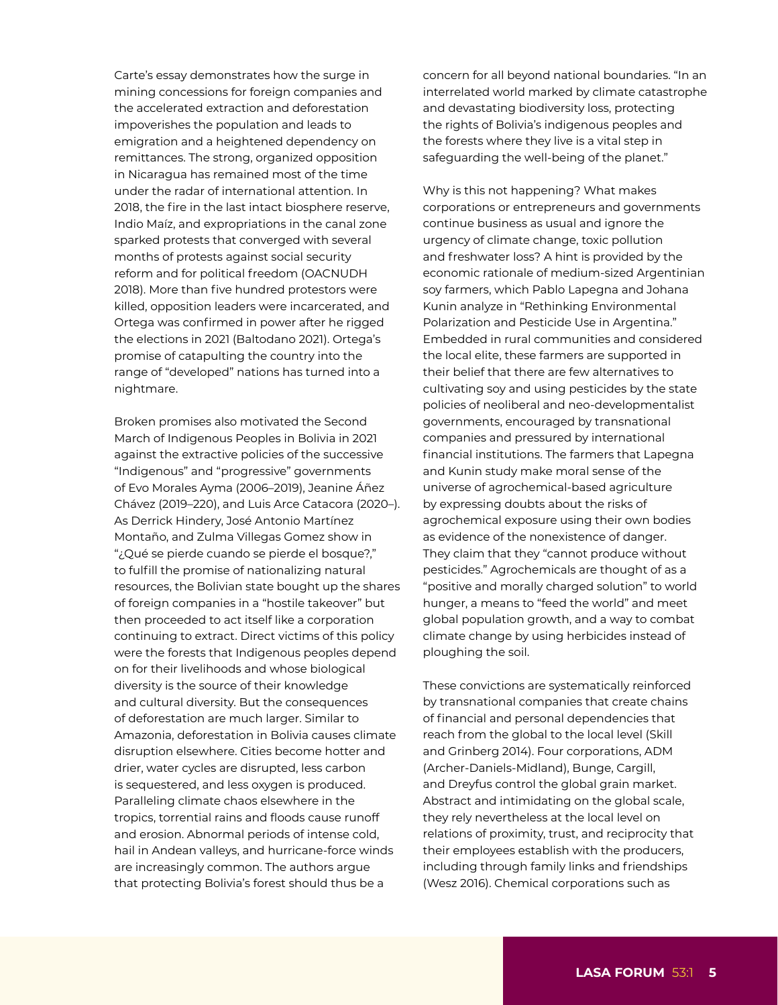Carte's essay demonstrates how the surge in mining concessions for foreign companies and the accelerated extraction and deforestation impoverishes the population and leads to emigration and a heightened dependency on remittances. The strong, organized opposition in Nicaragua has remained most of the time under the radar of international attention. In 2018, the fire in the last intact biosphere reserve, Indio Maíz, and expropriations in the canal zone sparked protests that converged with several months of protests against social security reform and for political freedom (OACNUDH 2018). More than five hundred protestors were killed, opposition leaders were incarcerated, and Ortega was confirmed in power after he rigged the elections in 2021 (Baltodano 2021). Ortega's promise of catapulting the country into the range of "developed" nations has turned into a nightmare.

Broken promises also motivated the Second March of Indigenous Peoples in Bolivia in 2021 against the extractive policies of the successive "Indigenous" and "progressive" governments of Evo Morales Ayma (2006–2019), Jeanine Áñez Chávez (2019–220), and Luis Arce Catacora (2020–). As Derrick Hindery, José Antonio Martínez Montaño, and Zulma Villegas Gomez show in "¿Qué se pierde cuando se pierde el bosque?," to fulfill the promise of nationalizing natural resources, the Bolivian state bought up the shares of foreign companies in a "hostile takeover" but then proceeded to act itself like a corporation continuing to extract. Direct victims of this policy were the forests that Indigenous peoples depend on for their livelihoods and whose biological diversity is the source of their knowledge and cultural diversity. But the consequences of deforestation are much larger. Similar to Amazonia, deforestation in Bolivia causes climate disruption elsewhere. Cities become hotter and drier, water cycles are disrupted, less carbon is sequestered, and less oxygen is produced. Paralleling climate chaos elsewhere in the tropics, torrential rains and floods cause runoff and erosion. Abnormal periods of intense cold, hail in Andean valleys, and hurricane-force winds are increasingly common. The authors argue that protecting Bolivia's forest should thus be a

concern for all beyond national boundaries. "In an interrelated world marked by climate catastrophe and devastating biodiversity loss, protecting the rights of Bolivia's indigenous peoples and the forests where they live is a vital step in safeguarding the well-being of the planet."

Why is this not happening? What makes corporations or entrepreneurs and governments continue business as usual and ignore the urgency of climate change, toxic pollution and freshwater loss? A hint is provided by the economic rationale of medium-sized Argentinian soy farmers, which Pablo Lapegna and Johana Kunin analyze in "Rethinking Environmental Polarization and Pesticide Use in Argentina." Embedded in rural communities and considered the local elite, these farmers are supported in their belief that there are few alternatives to cultivating soy and using pesticides by the state policies of neoliberal and neo-developmentalist governments, encouraged by transnational companies and pressured by international financial institutions. The farmers that Lapegna and Kunin study make moral sense of the universe of agrochemical-based agriculture by expressing doubts about the risks of agrochemical exposure using their own bodies as evidence of the nonexistence of danger. They claim that they "cannot produce without pesticides." Agrochemicals are thought of as a "positive and morally charged solution" to world hunger, a means to "feed the world" and meet global population growth, and a way to combat climate change by using herbicides instead of ploughing the soil.

These convictions are systematically reinforced by transnational companies that create chains of financial and personal dependencies that reach from the global to the local level (Skill and Grinberg 2014). Four corporations, ADM (Archer-Daniels-Midland), Bunge, Cargill, and Dreyfus control the global grain market. Abstract and intimidating on the global scale, they rely nevertheless at the local level on relations of proximity, trust, and reciprocity that their employees establish with the producers, including through family links and friendships (Wesz 2016). Chemical corporations such as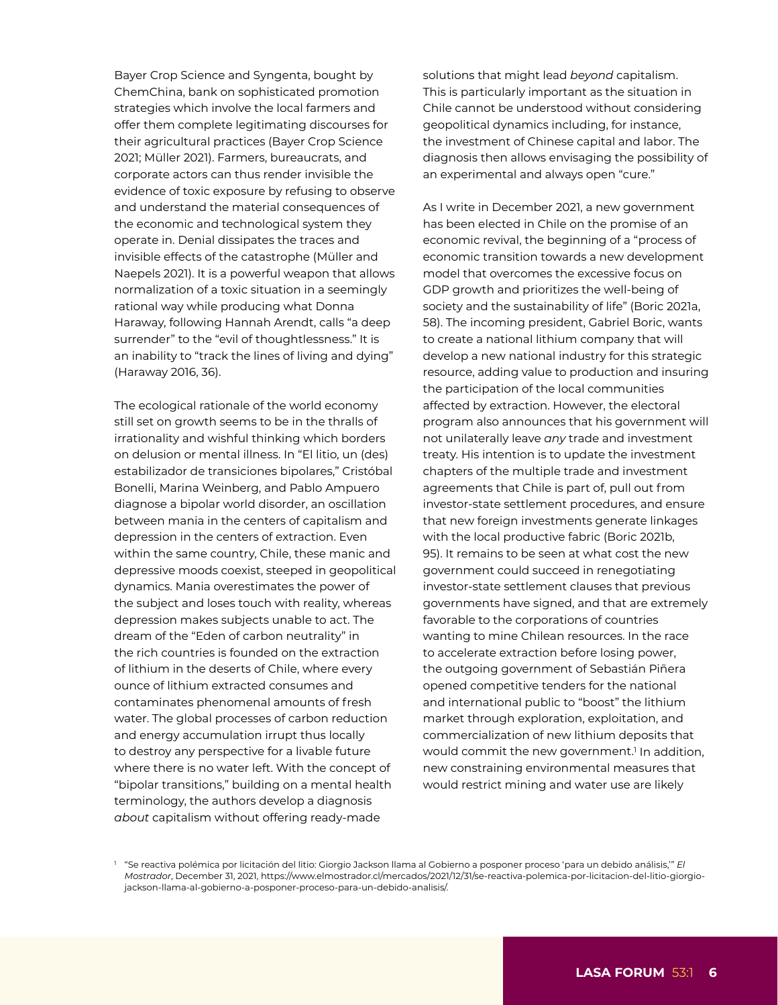Bayer Crop Science and Syngenta, bought by ChemChina, bank on sophisticated promotion strategies which involve the local farmers and offer them complete legitimating discourses for their agricultural practices (Bayer Crop Science 2021; Müller 2021). Farmers, bureaucrats, and corporate actors can thus render invisible the evidence of toxic exposure by refusing to observe and understand the material consequences of the economic and technological system they operate in. Denial dissipates the traces and invisible effects of the catastrophe (Müller and Naepels 2021). It is a powerful weapon that allows normalization of a toxic situation in a seemingly rational way while producing what Donna Haraway, following Hannah Arendt, calls "a deep surrender" to the "evil of thoughtlessness." It is an inability to "track the lines of living and dying" (Haraway 2016, 36).

The ecological rationale of the world economy still set on growth seems to be in the thralls of irrationality and wishful thinking which borders on delusion or mental illness. In "El litio, un (des) estabilizador de transiciones bipolares," Cristóbal Bonelli, Marina Weinberg, and Pablo Ampuero diagnose a bipolar world disorder, an oscillation between mania in the centers of capitalism and depression in the centers of extraction. Even within the same country, Chile, these manic and depressive moods coexist, steeped in geopolitical dynamics. Mania overestimates the power of the subject and loses touch with reality, whereas depression makes subjects unable to act. The dream of the "Eden of carbon neutrality" in the rich countries is founded on the extraction of lithium in the deserts of Chile, where every ounce of lithium extracted consumes and contaminates phenomenal amounts of fresh water. The global processes of carbon reduction and energy accumulation irrupt thus locally to destroy any perspective for a livable future where there is no water left. With the concept of "bipolar transitions," building on a mental health terminology, the authors develop a diagnosis *about* capitalism without offering ready-made

solutions that might lead *beyond* capitalism. This is particularly important as the situation in Chile cannot be understood without considering geopolitical dynamics including, for instance, the investment of Chinese capital and labor. The diagnosis then allows envisaging the possibility of an experimental and always open "cure."

As I write in December 2021, a new government has been elected in Chile on the promise of an economic revival, the beginning of a "process of economic transition towards a new development model that overcomes the excessive focus on GDP growth and prioritizes the well-being of society and the sustainability of life" (Boric 2021a, 58). The incoming president, Gabriel Boric, wants to create a national lithium company that will develop a new national industry for this strategic resource, adding value to production and insuring the participation of the local communities affected by extraction. However, the electoral program also announces that his government will not unilaterally leave *any* trade and investment treaty. His intention is to update the investment chapters of the multiple trade and investment agreements that Chile is part of, pull out from investor-state settlement procedures, and ensure that new foreign investments generate linkages with the local productive fabric (Boric 2021b, 95). It remains to be seen at what cost the new government could succeed in renegotiating investor-state settlement clauses that previous governments have signed, and that are extremely favorable to the corporations of countries wanting to mine Chilean resources. In the race to accelerate extraction before losing power, the outgoing government of Sebastián Piñera opened competitive tenders for the national and international public to "boost" the lithium market through exploration, exploitation, and commercialization of new lithium deposits that would commit the new government.1 In addition, new constraining environmental measures that would restrict mining and water use are likely

<sup>1</sup> "Se reactiva polémica por licitación del litio: Giorgio Jackson llama al Gobierno a posponer proceso 'para un debido análisis,'" *El Mostrador*, December 31, 2021, [https://www.elmostrador.cl/mercados/2021/12/31/se-reactiva-polemica-por-licitacion-del-litio-giorgio](https://www.elmostrador.cl/mercados/2021/12/31/se-reactiva-polemica-por-licitacion-del-litio-giorgio-jackson-llama-al-gobierno-a-posponer-proceso-para-un-debido-analisis/)[jackson-llama-al-gobierno-a-posponer-proceso-para-un-debido-analisis/](https://www.elmostrador.cl/mercados/2021/12/31/se-reactiva-polemica-por-licitacion-del-litio-giorgio-jackson-llama-al-gobierno-a-posponer-proceso-para-un-debido-analisis/).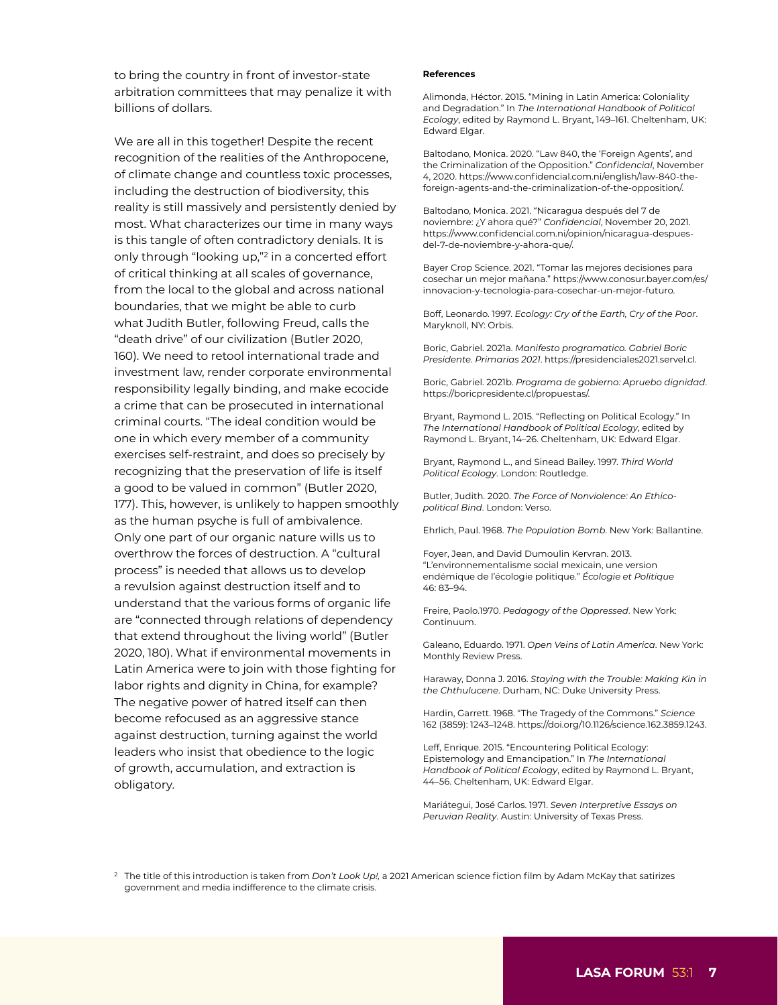to bring the country in front of investor-state arbitration committees that may penalize it with billions of dollars.

We are all in this together! Despite the recent recognition of the realities of the Anthropocene, of climate change and countless toxic processes, including the destruction of biodiversity, this reality is still massively and persistently denied by most. What characterizes our time in many ways is this tangle of often contradictory denials. It is only through "looking up,"2 in a concerted effort of critical thinking at all scales of governance, from the local to the global and across national boundaries, that we might be able to curb what Judith Butler, following Freud, calls the "death drive" of our civilization (Butler 2020, 160). We need to retool international trade and investment law, render corporate environmental responsibility legally binding, and make ecocide a crime that can be prosecuted in international criminal courts. "The ideal condition would be one in which every member of a community exercises self-restraint, and does so precisely by recognizing that the preservation of life is itself a good to be valued in common" (Butler 2020, 177). This, however, is unlikely to happen smoothly as the human psyche is full of ambivalence. Only one part of our organic nature wills us to overthrow the forces of destruction. A "cultural process" is needed that allows us to develop a revulsion against destruction itself and to understand that the various forms of organic life are "connected through relations of dependency that extend throughout the living world" (Butler 2020, 180). What if environmental movements in Latin America were to join with those fighting for labor rights and dignity in China, for example? The negative power of hatred itself can then become refocused as an aggressive stance against destruction, turning against the world leaders who insist that obedience to the logic of growth, accumulation, and extraction is obligatory.

## **References**

Alimonda, Héctor. 2015. "Mining in Latin America: Coloniality and Degradation." In *The International Handbook of Political Ecology*, edited by Raymond L. Bryant, 149–161. Cheltenham, UK: Edward Elgar.

Baltodano, Monica. 2020. "Law 840, the 'Foreign Agents', and the Criminalization of the Opposition." *Confidencial*, November 4, 2020. [https://www.confidencial.com.ni/english/law-840-the](https://www.confidencial.com.ni/english/law-840-the-foreign-agents-and-the-criminalization-of-the-opposition/)[foreign-agents-and-the-criminalization-of-the-opposition/](https://www.confidencial.com.ni/english/law-840-the-foreign-agents-and-the-criminalization-of-the-opposition/).

Baltodano, Monica. 2021. "Nicaragua después del 7 de noviembre: ¿Y ahora qué?" *Confidencial*, November 20, 2021. [https://www.confidencial.com.ni/opinion/nicaragua-despues](https://www.confidencial.com.ni/opinion/nicaragua-despues-del-7-de-noviembre-y-ahora-que/)[del-7-de-noviembre-y-ahora-que/](https://www.confidencial.com.ni/opinion/nicaragua-despues-del-7-de-noviembre-y-ahora-que/).

Bayer Crop Science. 2021. "Tomar las mejores decisiones para cosechar un mejor mañana." [https://www.conosur.bayer.com/es/](https://www.conosur.bayer.com/es/innovacion-y-tecnologia-para-cosechar-un-mejor-futuro) [innovacion-y-tecnologia-para-cosechar-un-mejor-futuro](https://www.conosur.bayer.com/es/innovacion-y-tecnologia-para-cosechar-un-mejor-futuro).

Boff, Leonardo. 1997. *Ecology: Cry of the Earth, Cry of the Poor*. Maryknoll, NY: Orbis.

Boric, Gabriel. 2021a. *Manifesto programatico. Gabriel Boric Presidente. Primarias 2021*. <https://presidenciales2021.servel.cl>*.*

Boric, Gabriel. 2021b. *Programa de gobierno: Apruebo dignidad*. <https://boricpresidente.cl/propuestas/>.

Bryant, Raymond L. 2015. "Reflecting on Political Ecology." In *The International Handbook of Political Ecology*, edited by Raymond L. Bryant, 14–26. Cheltenham, UK: Edward Elgar.

Bryant, Raymond L., and Sinead Bailey. 1997. *Third World Political Ecology*. London: Routledge.

Butler, Judith. 2020. *The Force of Nonviolence: An Ethicopolitical Bind*. London: Verso.

Ehrlich, Paul. 1968. *The Population Bomb*. New York: Ballantine.

Foyer, Jean, and David Dumoulin Kervran. 2013. "L'environnementalisme social mexicain, une version endémique de l'écologie politique." *Écologie et Politique* 46: 83–94.

Freire, Paolo.1970. *Pedagogy of the Oppressed*. New York: Continuum.

Galeano, Eduardo. 1971. *Open Veins of Latin America*. New York: Monthly Review Press.

Haraway, Donna J. 2016. *Staying with the Trouble: Making Kin in the Chthulucene*. Durham, NC: Duke University Press.

Hardin, Garrett. 1968. "The Tragedy of the Commons." *Science* 162 (3859): 1243–1248.<https://doi.org/10.1126/science.162.3859.1243>.

Leff, Enrique. 2015. "Encountering Political Ecology: Epistemology and Emancipation." In *The International Handbook of Political Ecology*, edited by Raymond L. Bryant, 44–56. Cheltenham, UK: Edward Elgar.

Mariátegui, José Carlos. 1971. *Seven Interpretive Essays on Peruvian Reality*. Austin: University of Texas Press.

<sup>2</sup> The title of this introduction is taken from *Don't Look Up!,* a 2021 American science fiction film by Adam McKay that satirizes government and media indifference to the climate crisis.